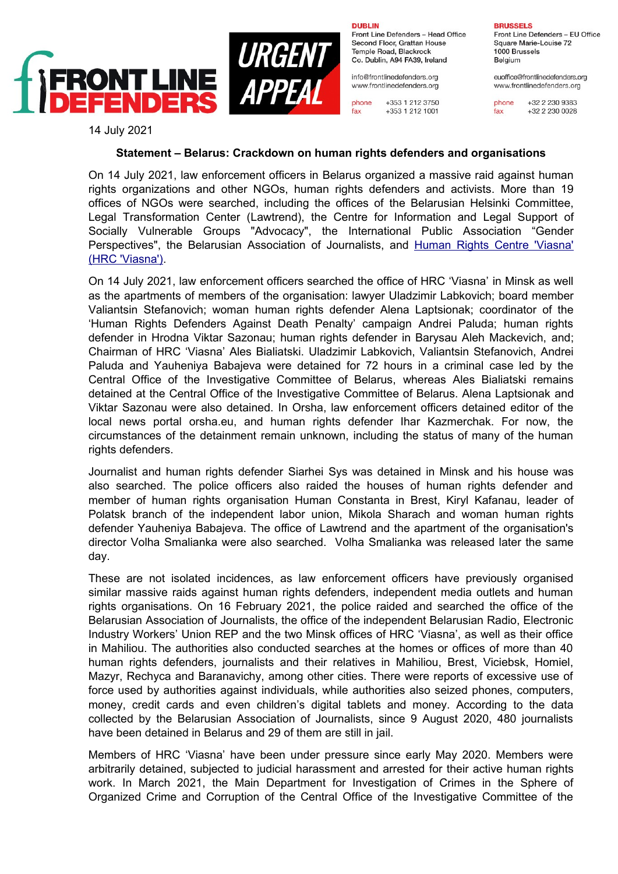

**DURLIN** 

Front Line Defenders - Head Office Second Floor, Grattan House Temple Road, Blackrock Co. Dublin, A94 FA39, Ireland

info@frontlinedefenders.org www.frontlinedefenders.org

+353 1 212 3750 phone +353 1 212 1001 fax

**RRUSSELS** Front Line Defenders - EU Office Square Marie-Louise 72 1000 Brussels Belaium

euoffice@frontlinedefenders.org www.frontlinedefenders.org

+32 2 230 9383 phone +32 2 230 0028 fax

14 July 2021

## **Statement – Belarus: Crackdown on human rights defenders and organisations**

On 14 July 2021, law enforcement officers in Belarus organized a massive raid against human rights organizations and other NGOs, human rights defenders and activists. More than 19 offices of NGOs were searched, including the offices of the Belarusian Helsinki Committee, Legal Transformation Center (Lawtrend), the Centre for Information and Legal Support of Socially Vulnerable Groups "Advocacy", the International Public Association "Gender Perspectives", the Belarusian Association of Journalists, and Human Rights Centre 'Viasna' [\(HRC 'Viasna'\)](https://www.frontlinedefenders.org/en/profile/human-rights-centre-viasna).

On 14 July 2021, law enforcement officers searched the office of HRC 'Viasna' in Minsk as well as the apartments of members of the organisation: lawyer Uladzimir Labkovich; board member Valiantsin Stefanovich; woman human rights defender Alena Laptsionak; coordinator of the 'Human Rights Defenders Against Death Penalty' campaign Andrei Paluda; human rights defender in Hrodna Viktar Sazonau; human rights defender in Barysau Aleh Mackevich, and; Chairman of HRC 'Viasna' Ales Bialiatski. Uladzimir Labkovich, Valiantsin Stefanovich, Andrei Paluda and Yauheniya Babajeva were detained for 72 hours in a criminal case led by the Central Office of the Investigative Committee of Belarus, whereas Ales Bialiatski remains detained at the Central Office of the Investigative Committee of Belarus. Alena Laptsionak and Viktar Sazonau were also detained. In Orsha, law enforcement officers detained editor of the local news portal orsha.eu, and human rights defender Ihar Kazmerchak. For now, the circumstances of the detainment remain unknown, including the status of many of the human rights defenders.

Journalist and human rights defender Siarhei Sys was detained in Minsk and his house was also searched. The police officers also raided the houses of human rights defender and member of human rights organisation Human Constanta in Brest, Kiryl Kafanau, leader of Polatsk branch of the independent labor union, Mikola Sharach and woman human rights defender Yauheniya Babajeva. The office of Lawtrend and the apartment of the organisation's director Volha Smalianka were also searched. Volha Smalianka was released later the same day.

These are not isolated incidences, as law enforcement officers have previously organised similar massive raids against human rights defenders, independent media outlets and human rights organisations. On 16 February 2021, the police raided and searched the office of the Belarusian Association of Journalists, the office of the independent Belarusian Radio, Electronic Industry Workers' Union REP and the two Minsk offices of HRC 'Viasna', as well as their office in Mahiliou. The authorities also conducted searches at the homes or offices of more than 40 human rights defenders, journalists and their relatives in Mahiliou, Brest, Viciebsk, Homiel, Mazyr, Rechyca and Baranavichy, among other cities. There were reports of excessive use of force used by authorities against individuals, while authorities also seized phones, computers, money, credit cards and even children's digital tablets and money. According to the data collected by the Belarusian Association of Journalists, since 9 August 2020, 480 journalists have been detained in Belarus and 29 of them are still in jail.

Members of HRC 'Viasna' have been under pressure since early May 2020. Members were arbitrarily detained, subjected to judicial harassment and arrested for their active human rights work. In March 2021, the Main Department for Investigation of Crimes in the Sphere of Organized Crime and Corruption of the Central Office of the Investigative Committee of the